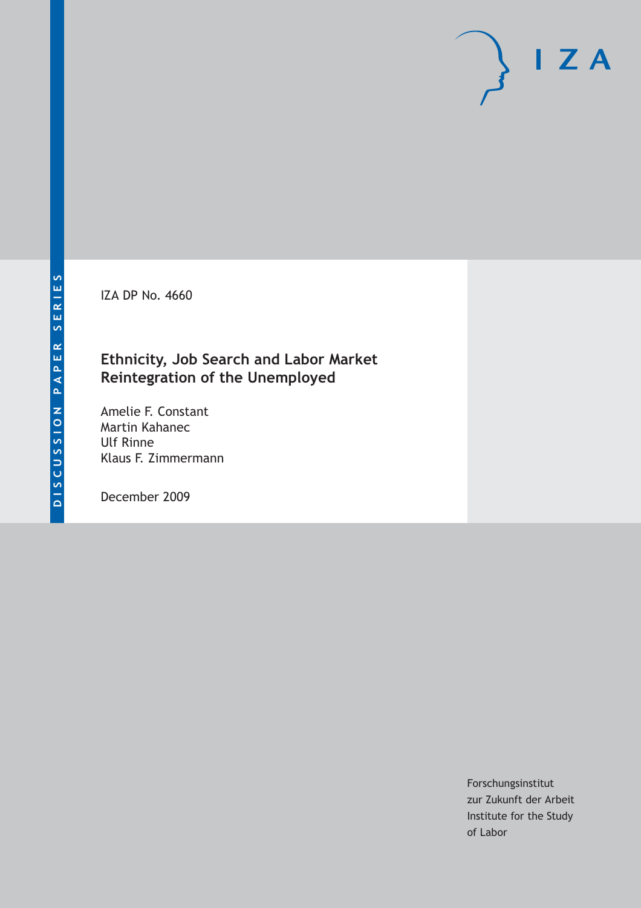IZA DP No. 4660

# **Ethnicity, Job Search and Labor Market Reintegration of the Unemployed**

Amelie F. Constant Martin Kahanec Ulf Rinne Klaus F. Zimmermann

December 2009

Forschungsinstitut zur Zukunft der Arbeit Institute for the Study of Labor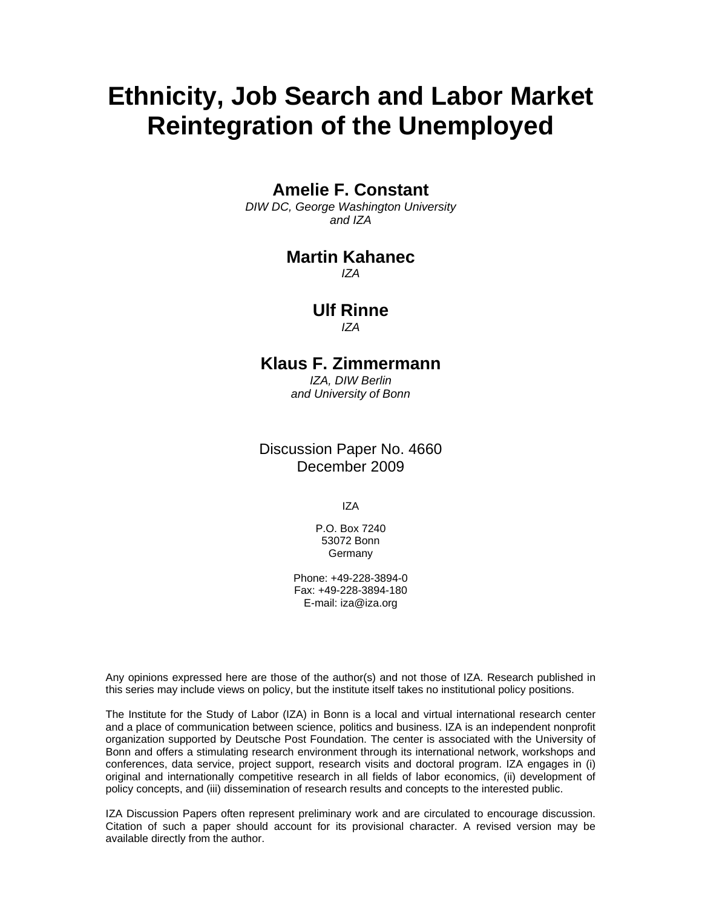# **Ethnicity, Job Search and Labor Market Reintegration of the Unemployed**

#### **Amelie F. Constant**

*DIW DC, George Washington University and IZA* 

#### **Martin Kahanec**  *IZA*

#### **Ulf Rinne**  *IZA*

#### **Klaus F. Zimmermann**

*IZA, DIW Berlin and University of Bonn* 

Discussion Paper No. 4660 December 2009

IZA

P.O. Box 7240 53072 Bonn **Germany** 

Phone: +49-228-3894-0 Fax: +49-228-3894-180 E-mail: iza@iza.org

Any opinions expressed here are those of the author(s) and not those of IZA. Research published in this series may include views on policy, but the institute itself takes no institutional policy positions.

The Institute for the Study of Labor (IZA) in Bonn is a local and virtual international research center and a place of communication between science, politics and business. IZA is an independent nonprofit organization supported by Deutsche Post Foundation. The center is associated with the University of Bonn and offers a stimulating research environment through its international network, workshops and conferences, data service, project support, research visits and doctoral program. IZA engages in (i) original and internationally competitive research in all fields of labor economics, (ii) development of policy concepts, and (iii) dissemination of research results and concepts to the interested public.

IZA Discussion Papers often represent preliminary work and are circulated to encourage discussion. Citation of such a paper should account for its provisional character. A revised version may be available directly from the author.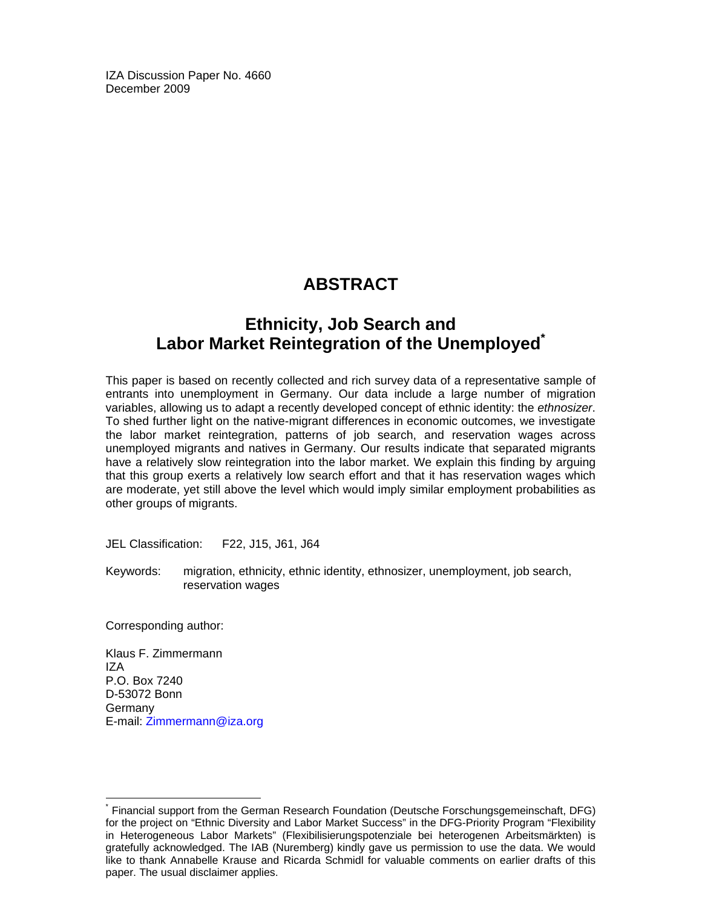IZA Discussion Paper No. 4660 December 2009

### **ABSTRACT**

### **Ethnicity, Job Search and Labor Market Reintegration of the Unemployed**

This paper is based on recently collected and rich survey data of a representative sample of entrants into unemployment in Germany. Our data include a large number of migration variables, allowing us to adapt a recently developed concept of ethnic identity: the *ethnosizer*. To shed further light on the native-migrant differences in economic outcomes, we investigate the labor market reintegration, patterns of job search, and reservation wages across unemployed migrants and natives in Germany. Our results indicate that separated migrants have a relatively slow reintegration into the labor market. We explain this finding by arguing that this group exerts a relatively low search effort and that it has reservation wages which are moderate, yet still above the level which would imply similar employment probabilities as other groups of migrants.

JEL Classification: F22, J15, J61, J64

Keywords: migration, ethnicity, ethnic identity, ethnosizer, unemployment, job search, reservation wages

Corresponding author:

-

Klaus F. Zimmermann IZA P.O. Box 7240 D-53072 Bonn Germany E-mail: Zimmermann@iza.org

<sup>\*</sup> Financial support from the German Research Foundation (Deutsche Forschungsgemeinschaft, DFG) for the project on "Ethnic Diversity and Labor Market Success" in the DFG-Priority Program "Flexibility in Heterogeneous Labor Markets" (Flexibilisierungspotenziale bei heterogenen Arbeitsmärkten) is gratefully acknowledged. The IAB (Nuremberg) kindly gave us permission to use the data. We would like to thank Annabelle Krause and Ricarda Schmidl for valuable comments on earlier drafts of this paper. The usual disclaimer applies.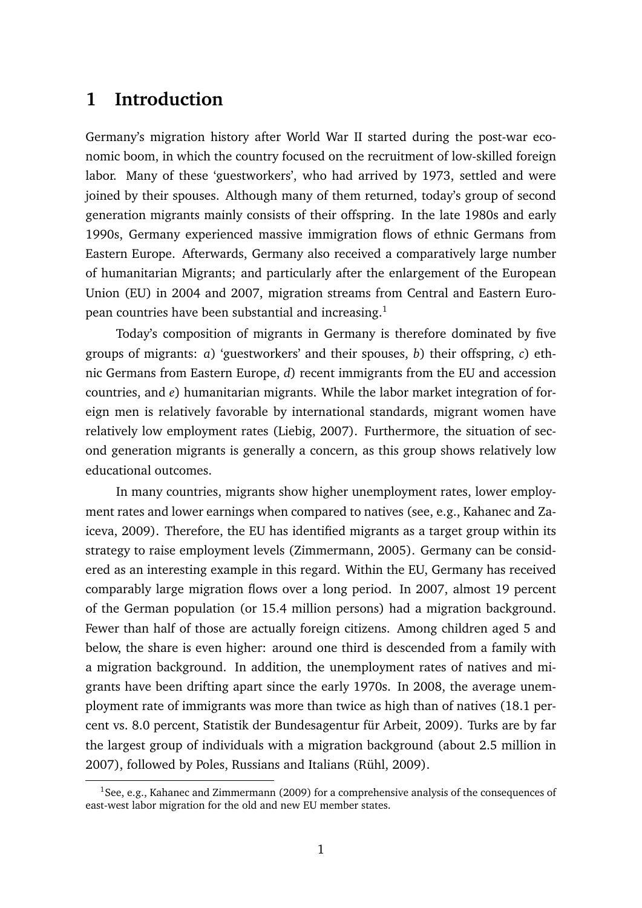### **1 Introduction**

Germany's migration history after World War II started during the post-war economic boom, in which the country focused on the recruitment of low-skilled foreign labor. Many of these 'guestworkers', who had arrived by 1973, settled and were joined by their spouses. Although many of them returned, today's group of second generation migrants mainly consists of their offspring. In the late 1980s and early 1990s, Germany experienced massive immigration flows of ethnic Germans from Eastern Europe. Afterwards, Germany also received a comparatively large number of humanitarian Migrants; and particularly after the enlargement of the European Union (EU) in 2004 and 2007, migration streams from Central and Eastern European countries have been substantial and increasing.<sup>1</sup>

Today's composition of migrants in Germany is therefore dominated by five groups of migrants: *a*) 'guestworkers' and their spouses, *b*) their offspring, *c*) ethnic Germans from Eastern Europe, *d*) recent immigrants from the EU and accession countries, and *e*) humanitarian migrants. While the labor market integration of foreign men is relatively favorable by international standards, migrant women have relatively low employment rates (Liebig, 2007). Furthermore, the situation of second generation migrants is generally a concern, as this group shows relatively low educational outcomes.

In many countries, migrants show higher unemployment rates, lower employment rates and lower earnings when compared to natives (see, e.g., Kahanec and Zaiceva, 2009). Therefore, the EU has identified migrants as a target group within its strategy to raise employment levels (Zimmermann, 2005). Germany can be considered as an interesting example in this regard. Within the EU, Germany has received comparably large migration flows over a long period. In 2007, almost 19 percent of the German population (or 15.4 million persons) had a migration background. Fewer than half of those are actually foreign citizens. Among children aged 5 and below, the share is even higher: around one third is descended from a family with a migration background. In addition, the unemployment rates of natives and migrants have been drifting apart since the early 1970s. In 2008, the average unemployment rate of immigrants was more than twice as high than of natives (18.1 percent vs. 8.0 percent, Statistik der Bundesagentur für Arbeit, 2009). Turks are by far the largest group of individuals with a migration background (about 2.5 million in 2007), followed by Poles, Russians and Italians (Rühl, 2009).

<sup>&</sup>lt;sup>1</sup>See, e.g., Kahanec and Zimmermann (2009) for a comprehensive analysis of the consequences of east-west labor migration for the old and new EU member states.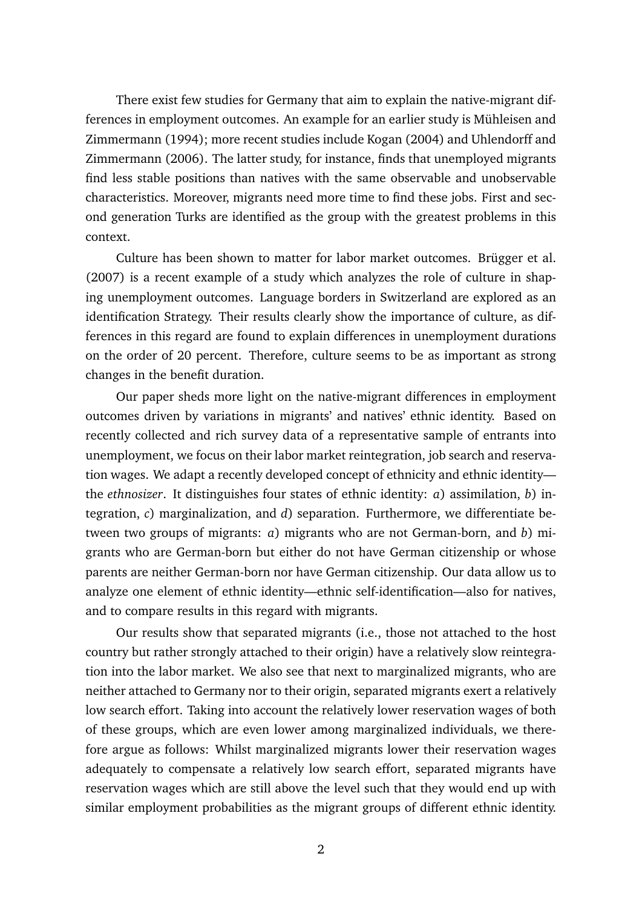There exist few studies for Germany that aim to explain the native-migrant differences in employment outcomes. An example for an earlier study is Mühleisen and Zimmermann (1994); more recent studies include Kogan (2004) and Uhlendorff and Zimmermann (2006). The latter study, for instance, finds that unemployed migrants find less stable positions than natives with the same observable and unobservable characteristics. Moreover, migrants need more time to find these jobs. First and second generation Turks are identified as the group with the greatest problems in this context.

Culture has been shown to matter for labor market outcomes. Brügger et al. (2007) is a recent example of a study which analyzes the role of culture in shaping unemployment outcomes. Language borders in Switzerland are explored as an identification Strategy. Their results clearly show the importance of culture, as differences in this regard are found to explain differences in unemployment durations on the order of 20 percent. Therefore, culture seems to be as important as strong changes in the benefit duration.

Our paper sheds more light on the native-migrant differences in employment outcomes driven by variations in migrants' and natives' ethnic identity. Based on recently collected and rich survey data of a representative sample of entrants into unemployment, we focus on their labor market reintegration, job search and reservation wages. We adapt a recently developed concept of ethnicity and ethnic identity the *ethnosizer*. It distinguishes four states of ethnic identity: *a*) assimilation, *b*) integration, *c*) marginalization, and *d*) separation. Furthermore, we differentiate between two groups of migrants: *a*) migrants who are not German-born, and *b*) migrants who are German-born but either do not have German citizenship or whose parents are neither German-born nor have German citizenship. Our data allow us to analyze one element of ethnic identity—ethnic self-identification—also for natives, and to compare results in this regard with migrants.

Our results show that separated migrants (i.e., those not attached to the host country but rather strongly attached to their origin) have a relatively slow reintegration into the labor market. We also see that next to marginalized migrants, who are neither attached to Germany nor to their origin, separated migrants exert a relatively low search effort. Taking into account the relatively lower reservation wages of both of these groups, which are even lower among marginalized individuals, we therefore argue as follows: Whilst marginalized migrants lower their reservation wages adequately to compensate a relatively low search effort, separated migrants have reservation wages which are still above the level such that they would end up with similar employment probabilities as the migrant groups of different ethnic identity.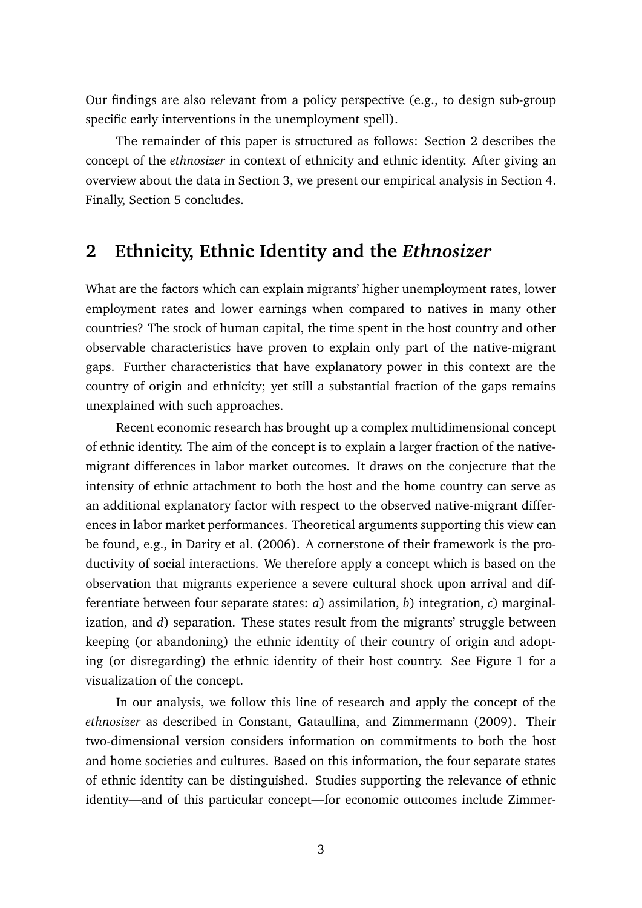Our findings are also relevant from a policy perspective (e.g., to design sub-group specific early interventions in the unemployment spell).

The remainder of this paper is structured as follows: Section 2 describes the concept of the *ethnosizer* in context of ethnicity and ethnic identity. After giving an overview about the data in Section 3, we present our empirical analysis in Section 4. Finally, Section 5 concludes.

# **2 Ethnicity, Ethnic Identity and the** *Ethnosizer*

What are the factors which can explain migrants' higher unemployment rates, lower employment rates and lower earnings when compared to natives in many other countries? The stock of human capital, the time spent in the host country and other observable characteristics have proven to explain only part of the native-migrant gaps. Further characteristics that have explanatory power in this context are the country of origin and ethnicity; yet still a substantial fraction of the gaps remains unexplained with such approaches.

Recent economic research has brought up a complex multidimensional concept of ethnic identity. The aim of the concept is to explain a larger fraction of the nativemigrant differences in labor market outcomes. It draws on the conjecture that the intensity of ethnic attachment to both the host and the home country can serve as an additional explanatory factor with respect to the observed native-migrant differences in labor market performances. Theoretical arguments supporting this view can be found, e.g., in Darity et al. (2006). A cornerstone of their framework is the productivity of social interactions. We therefore apply a concept which is based on the observation that migrants experience a severe cultural shock upon arrival and differentiate between four separate states: *a*) assimilation, *b*) integration, *c*) marginalization, and *d*) separation. These states result from the migrants' struggle between keeping (or abandoning) the ethnic identity of their country of origin and adopting (or disregarding) the ethnic identity of their host country. See Figure 1 for a visualization of the concept.

In our analysis, we follow this line of research and apply the concept of the *ethnosizer* as described in Constant, Gataullina, and Zimmermann (2009). Their two-dimensional version considers information on commitments to both the host and home societies and cultures. Based on this information, the four separate states of ethnic identity can be distinguished. Studies supporting the relevance of ethnic identity—and of this particular concept—for economic outcomes include Zimmer-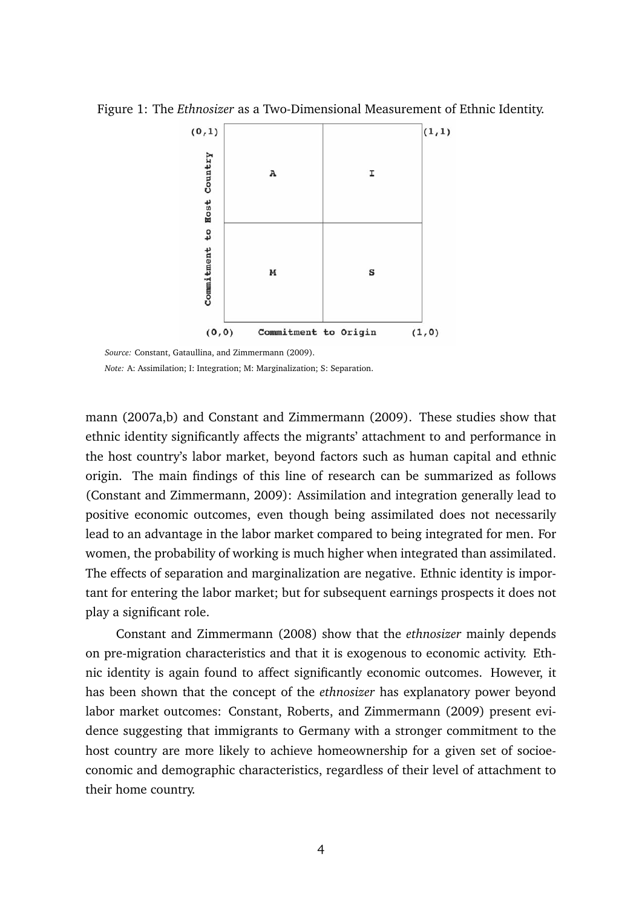Figure 1: The *Ethnosizer* as a Two-Dimensional Measurement of Ethnic Identity.



*Source:* Constant, Gataullina, and Zimmermann (2009). *Note:* A: Assimilation; I: Integration; M: Marginalization; S: Separation.

mann (2007a,b) and Constant and Zimmermann (2009). These studies show that ethnic identity significantly affects the migrants' attachment to and performance in the host country's labor market, beyond factors such as human capital and ethnic origin. The main findings of this line of research can be summarized as follows (Constant and Zimmermann, 2009): Assimilation and integration generally lead to positive economic outcomes, even though being assimilated does not necessarily lead to an advantage in the labor market compared to being integrated for men. For women, the probability of working is much higher when integrated than assimilated. The effects of separation and marginalization are negative. Ethnic identity is important for entering the labor market; but for subsequent earnings prospects it does not play a significant role.

Constant and Zimmermann (2008) show that the *ethnosizer* mainly depends on pre-migration characteristics and that it is exogenous to economic activity. Ethnic identity is again found to affect significantly economic outcomes. However, it has been shown that the concept of the *ethnosizer* has explanatory power beyond labor market outcomes: Constant, Roberts, and Zimmermann (2009) present evidence suggesting that immigrants to Germany with a stronger commitment to the host country are more likely to achieve homeownership for a given set of socioeconomic and demographic characteristics, regardless of their level of attachment to their home country.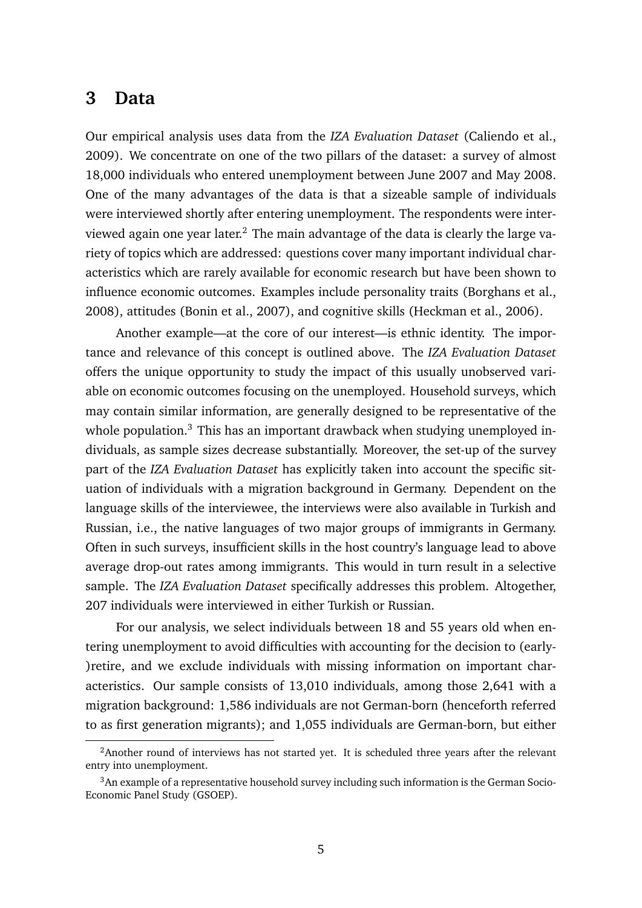#### **3 Data**

Our empirical analysis uses data from the *IZA Evaluation Dataset* (Caliendo et al., 2009). We concentrate on one of the two pillars of the dataset: a survey of almost 18,000 individuals who entered unemployment between June 2007 and May 2008. One of the many advantages of the data is that a sizeable sample of individuals were interviewed shortly after entering unemployment. The respondents were interviewed again one year later.<sup>2</sup> The main advantage of the data is clearly the large variety of topics which are addressed: questions cover many important individual characteristics which are rarely available for economic research but have been shown to influence economic outcomes. Examples include personality traits (Borghans et al., 2008), attitudes (Bonin et al., 2007), and cognitive skills (Heckman et al., 2006).

Another example—at the core of our interest—is ethnic identity. The importance and relevance of this concept is outlined above. The *IZA Evaluation Dataset* offers the unique opportunity to study the impact of this usually unobserved variable on economic outcomes focusing on the unemployed. Household surveys, which may contain similar information, are generally designed to be representative of the whole population.<sup>3</sup> This has an important drawback when studying unemployed individuals, as sample sizes decrease substantially. Moreover, the set-up of the survey part of the *IZA Evaluation Dataset* has explicitly taken into account the specific situation of individuals with a migration background in Germany. Dependent on the language skills of the interviewee, the interviews were also available in Turkish and Russian, i.e., the native languages of two major groups of immigrants in Germany. Often in such surveys, insufficient skills in the host country's language lead to above average drop-out rates among immigrants. This would in turn result in a selective sample. The *IZA Evaluation Dataset* specifically addresses this problem. Altogether, 207 individuals were interviewed in either Turkish or Russian.

For our analysis, we select individuals between 18 and 55 years old when entering unemployment to avoid difficulties with accounting for the decision to (early- )retire, and we exclude individuals with missing information on important characteristics. Our sample consists of 13,010 individuals, among those 2,641 with a migration background: 1,586 individuals are not German-born (henceforth referred to as first generation migrants); and 1,055 individuals are German-born, but either

<sup>&</sup>lt;sup>2</sup> Another round of interviews has not started yet. It is scheduled three years after the relevant entry into unemployment.

<sup>&</sup>lt;sup>3</sup>An example of a representative household survey including such information is the German Socio-Economic Panel Study (GSOEP).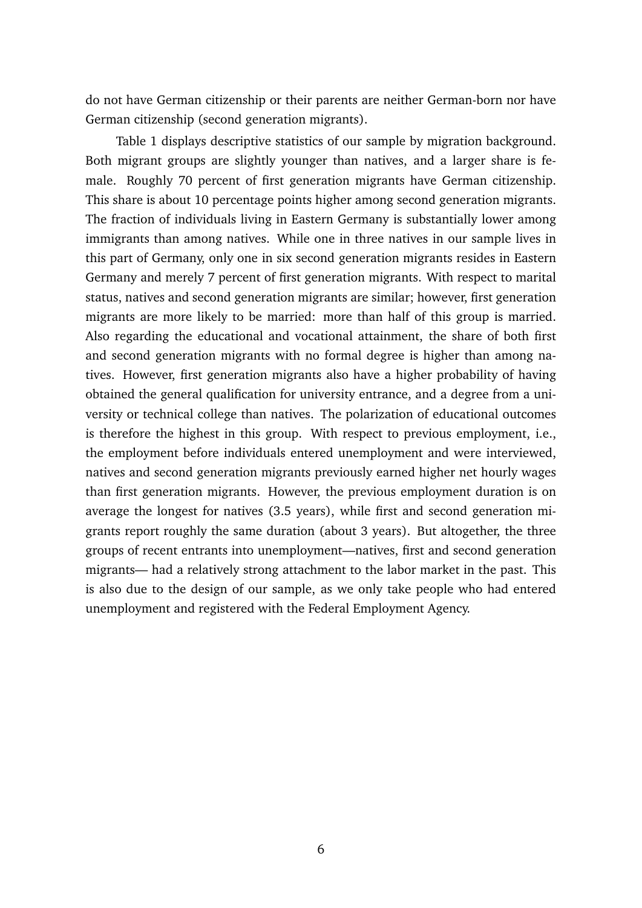do not have German citizenship or their parents are neither German-born nor have German citizenship (second generation migrants).

Table 1 displays descriptive statistics of our sample by migration background. Both migrant groups are slightly younger than natives, and a larger share is female. Roughly 70 percent of first generation migrants have German citizenship. This share is about 10 percentage points higher among second generation migrants. The fraction of individuals living in Eastern Germany is substantially lower among immigrants than among natives. While one in three natives in our sample lives in this part of Germany, only one in six second generation migrants resides in Eastern Germany and merely 7 percent of first generation migrants. With respect to marital status, natives and second generation migrants are similar; however, first generation migrants are more likely to be married: more than half of this group is married. Also regarding the educational and vocational attainment, the share of both first and second generation migrants with no formal degree is higher than among natives. However, first generation migrants also have a higher probability of having obtained the general qualification for university entrance, and a degree from a university or technical college than natives. The polarization of educational outcomes is therefore the highest in this group. With respect to previous employment, i.e., the employment before individuals entered unemployment and were interviewed, natives and second generation migrants previously earned higher net hourly wages than first generation migrants. However, the previous employment duration is on average the longest for natives (3.5 years), while first and second generation migrants report roughly the same duration (about 3 years). But altogether, the three groups of recent entrants into unemployment—natives, first and second generation migrants— had a relatively strong attachment to the labor market in the past. This is also due to the design of our sample, as we only take people who had entered unemployment and registered with the Federal Employment Agency.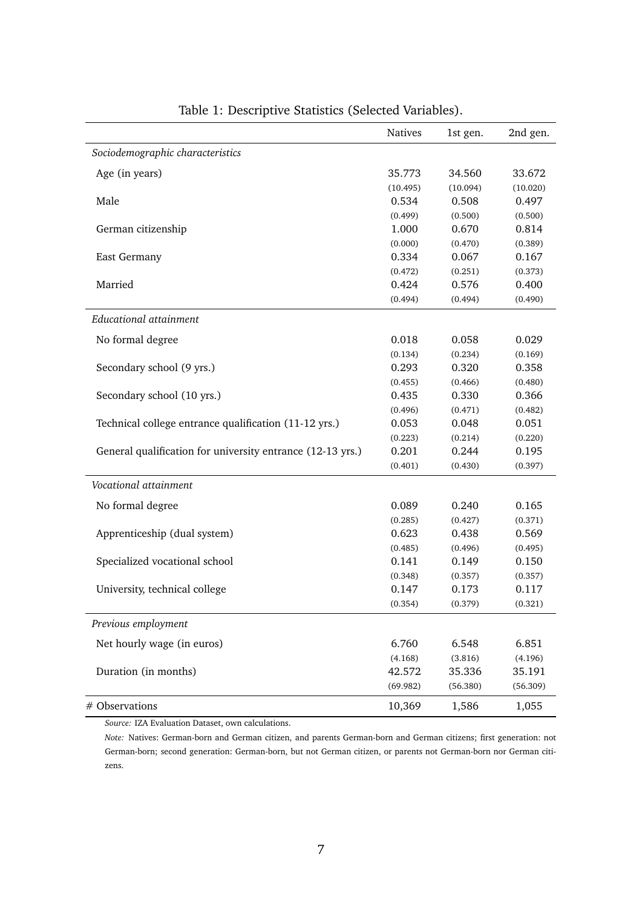|                                                            | Natives  | 1st gen. | 2nd gen. |
|------------------------------------------------------------|----------|----------|----------|
| Sociodemographic characteristics                           |          |          |          |
| Age (in years)                                             | 35.773   | 34.560   | 33.672   |
|                                                            | (10.495) | (10.094) | (10.020) |
| Male                                                       | 0.534    | 0.508    | 0.497    |
|                                                            | (0.499)  | (0.500)  | (0.500)  |
| German citizenship                                         | 1.000    | 0.670    | 0.814    |
|                                                            | (0.000)  | (0.470)  | (0.389)  |
| <b>East Germany</b>                                        | 0.334    | 0.067    | 0.167    |
|                                                            | (0.472)  | (0.251)  | (0.373)  |
| Married                                                    | 0.424    | 0.576    | 0.400    |
|                                                            | (0.494)  | (0.494)  | (0.490)  |
| Educational attainment                                     |          |          |          |
| No formal degree                                           | 0.018    | 0.058    | 0.029    |
|                                                            | (0.134)  | (0.234)  | (0.169)  |
| Secondary school (9 yrs.)                                  | 0.293    | 0.320    | 0.358    |
|                                                            | (0.455)  | (0.466)  | (0.480)  |
| Secondary school (10 yrs.)                                 | 0.435    | 0.330    | 0.366    |
|                                                            | (0.496)  | (0.471)  | (0.482)  |
| Technical college entrance qualification (11-12 yrs.)      | 0.053    | 0.048    | 0.051    |
|                                                            | (0.223)  | (0.214)  | (0.220)  |
| General qualification for university entrance (12-13 yrs.) | 0.201    | 0.244    | 0.195    |
|                                                            | (0.401)  | (0.430)  | (0.397)  |
| Vocational attainment                                      |          |          |          |
| No formal degree                                           | 0.089    | 0.240    | 0.165    |
|                                                            | (0.285)  | (0.427)  | (0.371)  |
| Apprenticeship (dual system)                               | 0.623    | 0.438    | 0.569    |
|                                                            | (0.485)  | (0.496)  | (0.495)  |
| Specialized vocational school                              | 0.141    | 0.149    | 0.150    |
|                                                            | (0.348)  | (0.357)  | (0.357)  |
| University, technical college                              | 0.147    | 0.173    | 0.117    |
|                                                            | (0.354)  | (0.379)  | (0.321)  |
| Previous employment                                        |          |          |          |
| Net hourly wage (in euros)                                 | 6.760    | 6.548    | 6.851    |
|                                                            | (4.168)  | (3.816)  | (4.196)  |
| Duration (in months)                                       | 42.572   | 35.336   | 35.191   |
|                                                            | (69.982) | (56.380) | (56.309) |
| # Observations                                             | 10,369   | 1,586    | 1,055    |

Table 1: Descriptive Statistics (Selected Variables).

*Source:* IZA Evaluation Dataset, own calculations.

*Note:* Natives: German-born and German citizen, and parents German-born and German citizens; first generation: not German-born; second generation: German-born, but not German citizen, or parents not German-born nor German citizens.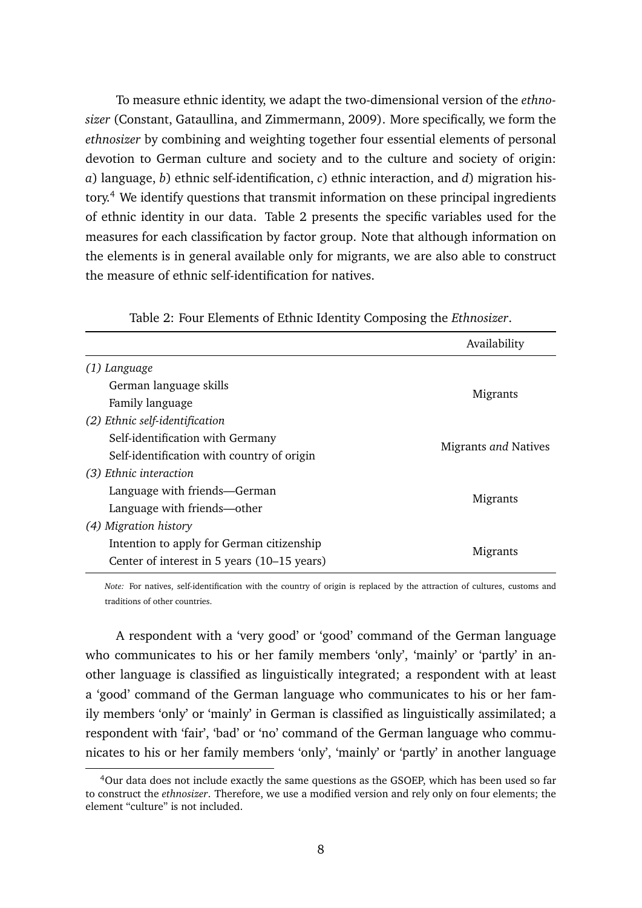To measure ethnic identity, we adapt the two-dimensional version of the *ethnosizer* (Constant, Gataullina, and Zimmermann, 2009). More specifically, we form the *ethnosizer* by combining and weighting together four essential elements of personal devotion to German culture and society and to the culture and society of origin: *a*) language, *b*) ethnic self-identification, *c*) ethnic interaction, and *d*) migration history.<sup>4</sup> We identify questions that transmit information on these principal ingredients of ethnic identity in our data. Table 2 presents the specific variables used for the measures for each classification by factor group. Note that although information on the elements is in general available only for migrants, we are also able to construct the measure of ethnic self-identification for natives.

|                                             | Availability                |
|---------------------------------------------|-----------------------------|
| (1) Language                                |                             |
| German language skills                      |                             |
| Family language                             | Migrants                    |
| (2) Ethnic self-identification              |                             |
| Self-identification with Germany            |                             |
| Self-identification with country of origin  | <b>Migrants and Natives</b> |
| (3) Ethnic interaction                      |                             |
| Language with friends—German                |                             |
| Language with friends—other                 | Migrants                    |
| (4) Migration history                       |                             |
| Intention to apply for German citizenship   |                             |
| Center of interest in 5 years (10–15 years) | Migrants                    |

Table 2: Four Elements of Ethnic Identity Composing the *Ethnosizer*.

*Note:* For natives, self-identification with the country of origin is replaced by the attraction of cultures, customs and traditions of other countries.

A respondent with a 'very good' or 'good' command of the German language who communicates to his or her family members 'only', 'mainly' or 'partly' in another language is classified as linguistically integrated; a respondent with at least a 'good' command of the German language who communicates to his or her family members 'only' or 'mainly' in German is classified as linguistically assimilated; a respondent with 'fair', 'bad' or 'no' command of the German language who communicates to his or her family members 'only', 'mainly' or 'partly' in another language

<sup>4</sup>Our data does not include exactly the same questions as the GSOEP, which has been used so far to construct the *ethnosizer*. Therefore, we use a modified version and rely only on four elements; the element "culture" is not included.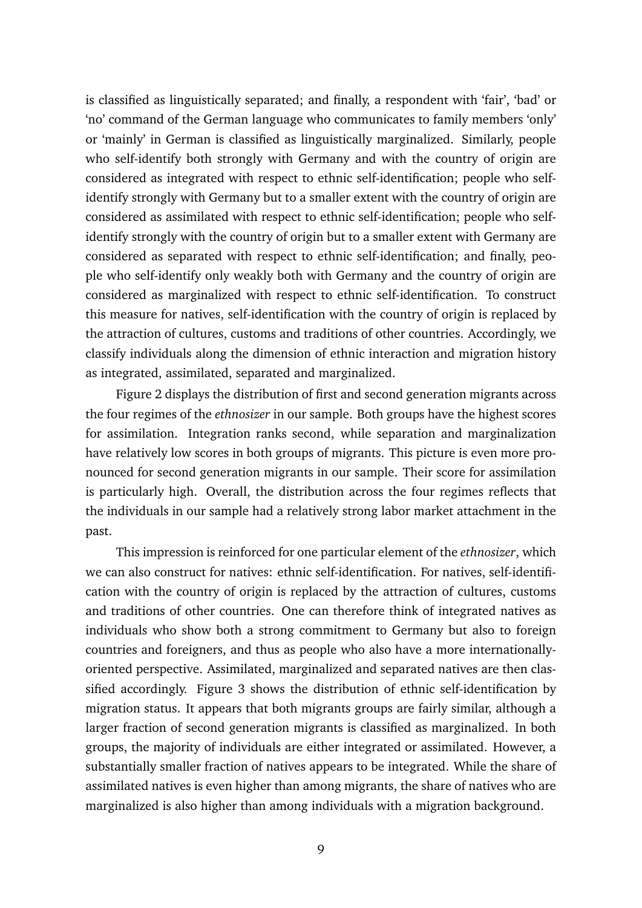is classified as linguistically separated; and finally, a respondent with 'fair', 'bad' or 'no' command of the German language who communicates to family members 'only' or 'mainly' in German is classified as linguistically marginalized. Similarly, people who self-identify both strongly with Germany and with the country of origin are considered as integrated with respect to ethnic self-identification; people who selfidentify strongly with Germany but to a smaller extent with the country of origin are considered as assimilated with respect to ethnic self-identification; people who selfidentify strongly with the country of origin but to a smaller extent with Germany are considered as separated with respect to ethnic self-identification; and finally, people who self-identify only weakly both with Germany and the country of origin are considered as marginalized with respect to ethnic self-identification. To construct this measure for natives, self-identification with the country of origin is replaced by the attraction of cultures, customs and traditions of other countries. Accordingly, we classify individuals along the dimension of ethnic interaction and migration history as integrated, assimilated, separated and marginalized.

Figure 2 displays the distribution of first and second generation migrants across the four regimes of the *ethnosizer* in our sample. Both groups have the highest scores for assimilation. Integration ranks second, while separation and marginalization have relatively low scores in both groups of migrants. This picture is even more pronounced for second generation migrants in our sample. Their score for assimilation is particularly high. Overall, the distribution across the four regimes reflects that the individuals in our sample had a relatively strong labor market attachment in the past.

This impression is reinforced for one particular element of the *ethnosizer*, which we can also construct for natives: ethnic self-identification. For natives, self-identification with the country of origin is replaced by the attraction of cultures, customs and traditions of other countries. One can therefore think of integrated natives as individuals who show both a strong commitment to Germany but also to foreign countries and foreigners, and thus as people who also have a more internationallyoriented perspective. Assimilated, marginalized and separated natives are then classified accordingly. Figure 3 shows the distribution of ethnic self-identification by migration status. It appears that both migrants groups are fairly similar, although a larger fraction of second generation migrants is classified as marginalized. In both groups, the majority of individuals are either integrated or assimilated. However, a substantially smaller fraction of natives appears to be integrated. While the share of assimilated natives is even higher than among migrants, the share of natives who are marginalized is also higher than among individuals with a migration background.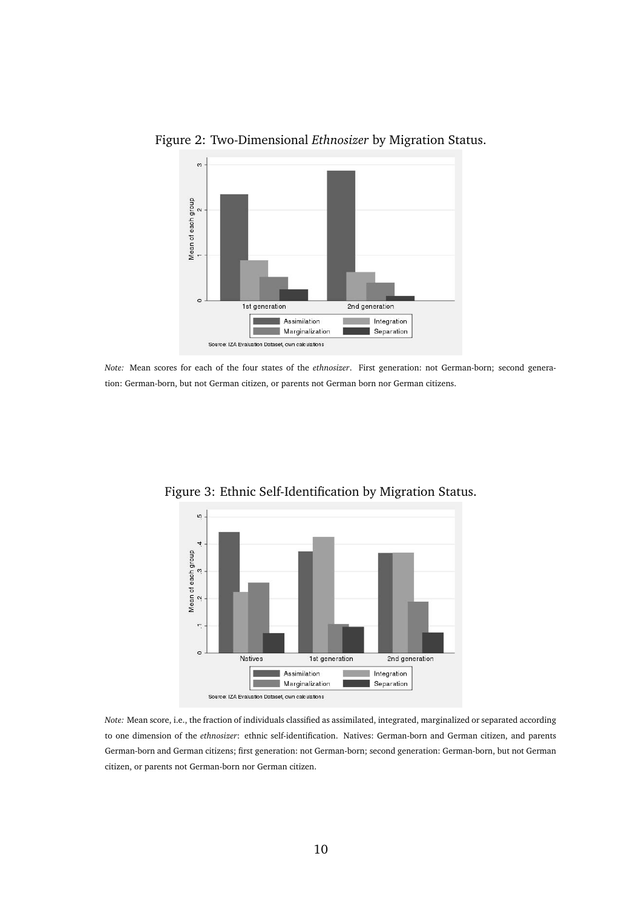

Figure 2: Two-Dimensional *Ethnosizer* by Migration Status.

*Note:* Mean scores for each of the four states of the *ethnosizer*. First generation: not German-born; second generation: German-born, but not German citizen, or parents not German born nor German citizens.



Figure 3: Ethnic Self-Identification by Migration Status.

*Note:* Mean score, i.e., the fraction of individuals classified as assimilated, integrated, marginalized or separated according to one dimension of the *ethnosizer*: ethnic self-identification. Natives: German-born and German citizen, and parents German-born and German citizens; first generation: not German-born; second generation: German-born, but not German citizen, or parents not German-born nor German citizen.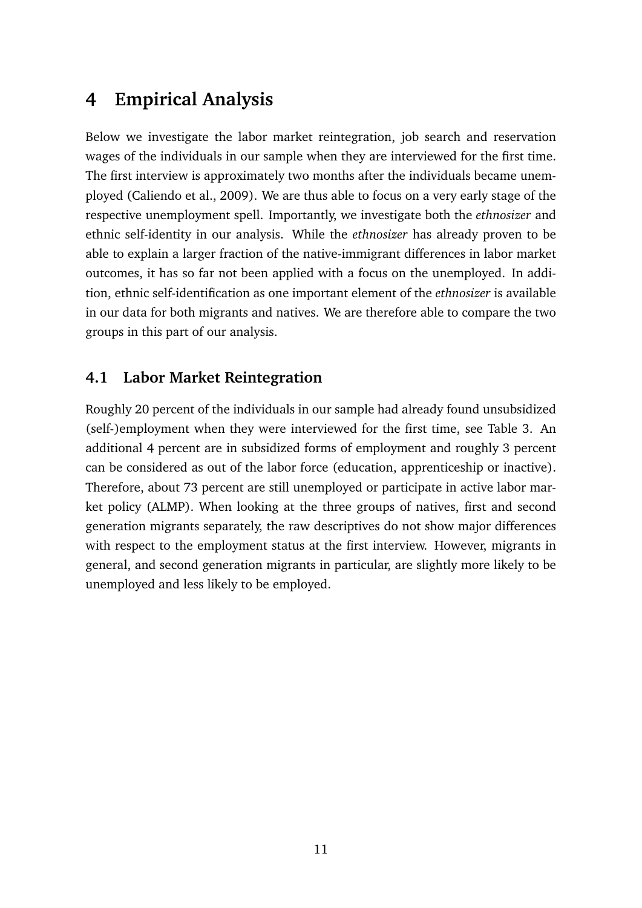# **4 Empirical Analysis**

Below we investigate the labor market reintegration, job search and reservation wages of the individuals in our sample when they are interviewed for the first time. The first interview is approximately two months after the individuals became unemployed (Caliendo et al., 2009). We are thus able to focus on a very early stage of the respective unemployment spell. Importantly, we investigate both the *ethnosizer* and ethnic self-identity in our analysis. While the *ethnosizer* has already proven to be able to explain a larger fraction of the native-immigrant differences in labor market outcomes, it has so far not been applied with a focus on the unemployed. In addition, ethnic self-identification as one important element of the *ethnosizer* is available in our data for both migrants and natives. We are therefore able to compare the two groups in this part of our analysis.

#### **4.1 Labor Market Reintegration**

Roughly 20 percent of the individuals in our sample had already found unsubsidized (self-)employment when they were interviewed for the first time, see Table 3. An additional 4 percent are in subsidized forms of employment and roughly 3 percent can be considered as out of the labor force (education, apprenticeship or inactive). Therefore, about 73 percent are still unemployed or participate in active labor market policy (ALMP). When looking at the three groups of natives, first and second generation migrants separately, the raw descriptives do not show major differences with respect to the employment status at the first interview. However, migrants in general, and second generation migrants in particular, are slightly more likely to be unemployed and less likely to be employed.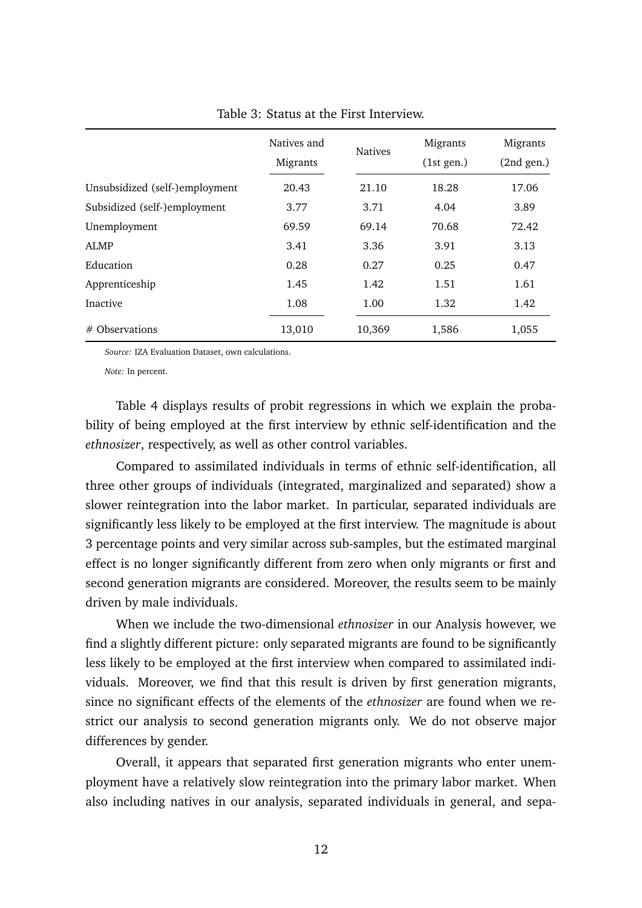|                                | Natives and<br>Migrants | <b>Natives</b> | Migrants<br>(1st gen.) | Migrants<br>(2nd gen.) |
|--------------------------------|-------------------------|----------------|------------------------|------------------------|
| Unsubsidized (self-)employment | 20.43                   | 21.10          | 18.28                  | 17.06                  |
| Subsidized (self-)employment   | 3.77                    | 3.71           | 4.04                   | 3.89                   |
| Unemployment                   | 69.59                   | 69.14          | 70.68                  | 72.42                  |
| <b>ALMP</b>                    | 3.41                    | 3.36           | 3.91                   | 3.13                   |
| Education                      | 0.28                    | 0.27           | 0.25                   | 0.47                   |
| Apprenticeship                 | 1.45                    | 1.42           | 1.51                   | 1.61                   |
| Inactive                       | 1.08                    | 1.00           | 1.32                   | 1.42                   |
| $#$ Observations               | 13,010                  | 10,369         | 1,586                  | 1,055                  |

#### Table 3: Status at the First Interview.

*Source:* IZA Evaluation Dataset, own calculations.

*Note:* In percent.

Table 4 displays results of probit regressions in which we explain the probability of being employed at the first interview by ethnic self-identification and the *ethnosizer*, respectively, as well as other control variables.

Compared to assimilated individuals in terms of ethnic self-identification, all three other groups of individuals (integrated, marginalized and separated) show a slower reintegration into the labor market. In particular, separated individuals are significantly less likely to be employed at the first interview. The magnitude is about 3 percentage points and very similar across sub-samples, but the estimated marginal effect is no longer significantly different from zero when only migrants or first and second generation migrants are considered. Moreover, the results seem to be mainly driven by male individuals.

When we include the two-dimensional *ethnosizer* in our Analysis however, we find a slightly different picture: only separated migrants are found to be significantly less likely to be employed at the first interview when compared to assimilated individuals. Moreover, we find that this result is driven by first generation migrants, since no significant effects of the elements of the *ethnosizer* are found when we restrict our analysis to second generation migrants only. We do not observe major differences by gender.

Overall, it appears that separated first generation migrants who enter unemployment have a relatively slow reintegration into the primary labor market. When also including natives in our analysis, separated individuals in general, and sepa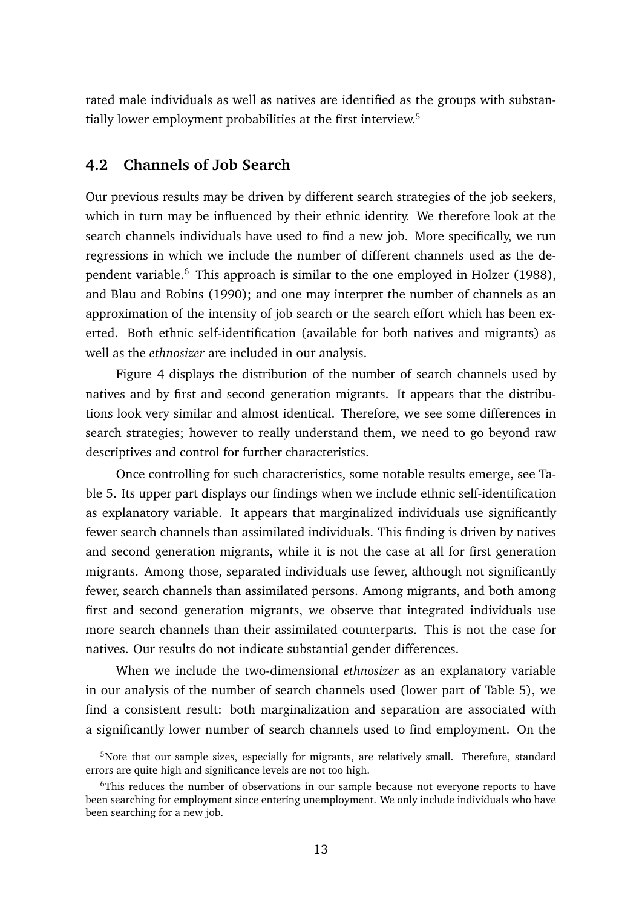rated male individuals as well as natives are identified as the groups with substantially lower employment probabilities at the first interview.<sup>5</sup>

#### **4.2 Channels of Job Search**

Our previous results may be driven by different search strategies of the job seekers, which in turn may be influenced by their ethnic identity. We therefore look at the search channels individuals have used to find a new job. More specifically, we run regressions in which we include the number of different channels used as the dependent variable.<sup>6</sup> This approach is similar to the one employed in Holzer (1988), and Blau and Robins (1990); and one may interpret the number of channels as an approximation of the intensity of job search or the search effort which has been exerted. Both ethnic self-identification (available for both natives and migrants) as well as the *ethnosizer* are included in our analysis.

Figure 4 displays the distribution of the number of search channels used by natives and by first and second generation migrants. It appears that the distributions look very similar and almost identical. Therefore, we see some differences in search strategies; however to really understand them, we need to go beyond raw descriptives and control for further characteristics.

Once controlling for such characteristics, some notable results emerge, see Table 5. Its upper part displays our findings when we include ethnic self-identification as explanatory variable. It appears that marginalized individuals use significantly fewer search channels than assimilated individuals. This finding is driven by natives and second generation migrants, while it is not the case at all for first generation migrants. Among those, separated individuals use fewer, although not significantly fewer, search channels than assimilated persons. Among migrants, and both among first and second generation migrants, we observe that integrated individuals use more search channels than their assimilated counterparts. This is not the case for natives. Our results do not indicate substantial gender differences.

When we include the two-dimensional *ethnosizer* as an explanatory variable in our analysis of the number of search channels used (lower part of Table 5), we find a consistent result: both marginalization and separation are associated with a significantly lower number of search channels used to find employment. On the

<sup>&</sup>lt;sup>5</sup>Note that our sample sizes, especially for migrants, are relatively small. Therefore, standard errors are quite high and significance levels are not too high.

<sup>6</sup>This reduces the number of observations in our sample because not everyone reports to have been searching for employment since entering unemployment. We only include individuals who have been searching for a new job.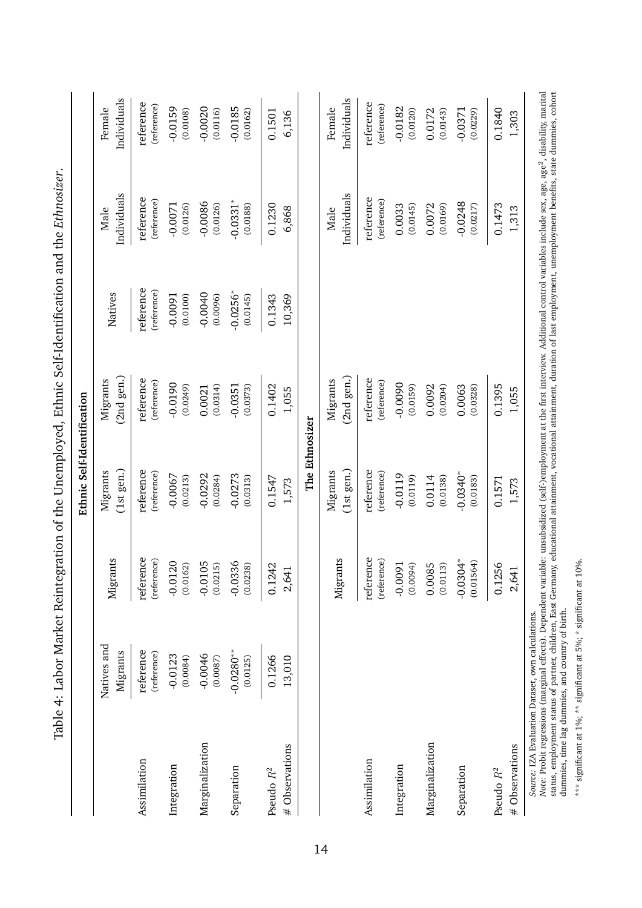|                                                  |                                                   |                          | Ethnic Self-Identification |                          |                          |                                                                                                                                                                                                                                                                                                                                                                                                         |                          |
|--------------------------------------------------|---------------------------------------------------|--------------------------|----------------------------|--------------------------|--------------------------|---------------------------------------------------------------------------------------------------------------------------------------------------------------------------------------------------------------------------------------------------------------------------------------------------------------------------------------------------------------------------------------------------------|--------------------------|
|                                                  | Natives and<br>Migrants                           | Migrants                 | (1st gen.)<br>Migrants     | (2nd gen.)<br>Migrants   | Natives                  | Individuals<br>Male                                                                                                                                                                                                                                                                                                                                                                                     | Individuals<br>Female    |
| Assimilation                                     | reference<br>(reference)                          | reference<br>(reference) | reference<br>(reference)   | reference<br>(reference) | reference<br>(reference) | reference<br>(reference)                                                                                                                                                                                                                                                                                                                                                                                | reference<br>(reference) |
| Integration                                      | $-0.0123$<br>(0.0084)                             | $-0.0120$<br>(0.0162)    | $-0.0067$<br>(0.0213)      | $-0.0190$<br>(0.0249)    | (0.0100)<br>$-0.0091$    | (0.0126)<br>$-0.0071$                                                                                                                                                                                                                                                                                                                                                                                   | $-0.0159$<br>(0.0108)    |
| Marginalization                                  | $-0.0046$<br>(0.0087)                             | $-0.0105$<br>(0.0215)    | $-0.0292$<br>(0.0284)      | (0.0314)<br>0.0021       | $-0.0040$<br>(0.0096)    | $-0.0086$<br>(0.0126)                                                                                                                                                                                                                                                                                                                                                                                   | $-0.0020$<br>(0.0116)    |
| Separation                                       | $-0.0280**$<br>(0.0125)                           | $-0.0336$<br>(0.0238)    | $-0.0273$<br>(0.0313)      | $-0.0351$<br>(0.0373)    | $-0.0256*$<br>(0.0145)   | $-0.0331*$<br>(0.0188)                                                                                                                                                                                                                                                                                                                                                                                  | $-0.0185$<br>(0.0162)    |
| # Observations<br>Pseudo $\mathbb{R}^2$          | 0.1266<br>13,010                                  | 0.1242<br>2,641          | 0.1547<br>1,573            | 0.1402<br>1,055          | 10,369<br>0.1343         | 0.1230<br>6,868                                                                                                                                                                                                                                                                                                                                                                                         | 0.1501<br>6,136          |
|                                                  |                                                   |                          | The Ethnosizer             |                          |                          |                                                                                                                                                                                                                                                                                                                                                                                                         |                          |
|                                                  |                                                   | Migrants                 | (1st gen.)<br>Migrants     | (2nd gen.)<br>Migrants   |                          | Individuals<br>Male                                                                                                                                                                                                                                                                                                                                                                                     | Individuals<br>Female    |
| Assimilation                                     |                                                   | reference<br>(reference) | reference<br>(reference)   | reference<br>(reference) |                          | reference<br>(reference)                                                                                                                                                                                                                                                                                                                                                                                | reference<br>(reference) |
| Integration                                      |                                                   | $-0.0091$<br>(0.0094)    | $-0.0119$<br>(0.0119)      | -0.0090<br>(0.0159)      |                          | 0.0033<br>(0.0145)                                                                                                                                                                                                                                                                                                                                                                                      | $-0.0182$<br>(0.0120)    |
| Marginalization                                  |                                                   | 0.0085<br>(0.0113)       | 0.0114<br>(0.0138)         | (0.0204)<br>0.0092       |                          | (0.0169)<br>0.0072                                                                                                                                                                                                                                                                                                                                                                                      | 0.0172<br>(0.0143)       |
| Separation                                       |                                                   | $-0.0304*$<br>(0.01564)  | $-0.0340*$<br>(0.0183)     | 0.0063<br>(0.0328)       |                          | $-0.0248$<br>(0.0217)                                                                                                                                                                                                                                                                                                                                                                                   | $-0.0371$<br>(0.0229)    |
| # Observations<br>Pseudo $\mathbb{R}^2$          |                                                   | 0.1256<br>2,641          | 0.1571<br>1,573            | 0.1395<br>1,055          |                          | 0.1473<br>1,313                                                                                                                                                                                                                                                                                                                                                                                         | 0.1840<br>1,303          |
| dummies, time lag dummies, and country of birth. | Source: IZA Evaluation Dataset, own calculations. |                          |                            |                          |                          | status, employment status of partner, children, East Germany, educational attainment, vocational attainment, duration of last employment, unemployment benefits, state dummies, cohort<br>Note: Probit regressions (marginal effects). Dependent variable: unsubsidized (self-)employment at the first interview. Additional control variables include sex, age, age <sup>2</sup> , disability, marital |                          |

\*\*\* significant at 1%; \*\* significant at 5%; \* significant at 10%.

\*\*\* significant at 1%; \*\*\* significant at 5%; \* significant at 10%.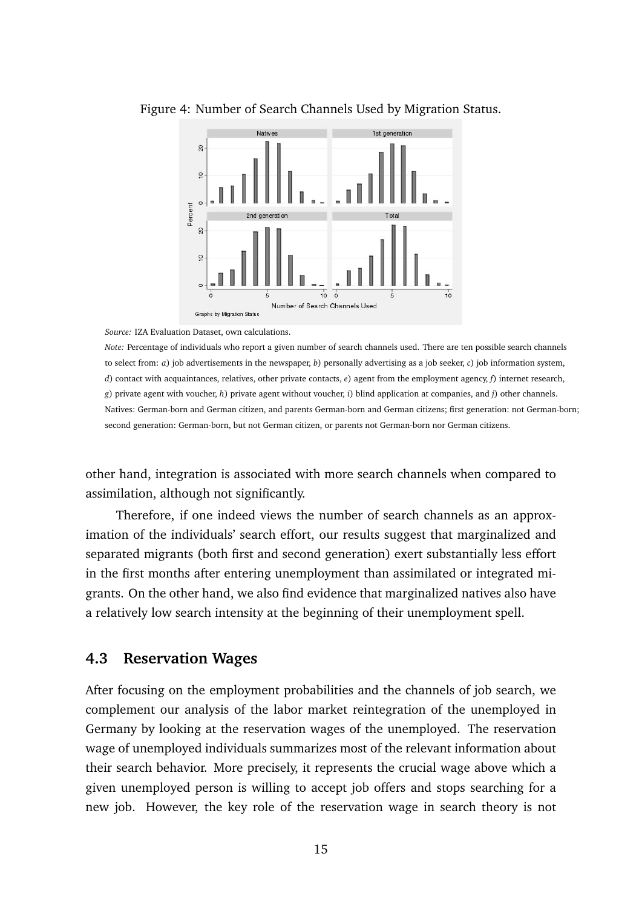

Figure 4: Number of Search Channels Used by Migration Status.

*Source:* IZA Evaluation Dataset, own calculations.

*Note:* Percentage of individuals who report a given number of search channels used. There are ten possible search channels to select from: *a*) job advertisements in the newspaper, *b*) personally advertising as a job seeker, *c*) job information system, *d*) contact with acquaintances, relatives, other private contacts, *e*) agent from the employment agency, *f*) internet research, *g*) private agent with voucher, *h*) private agent without voucher, *i*) blind application at companies, and *j*) other channels. Natives: German-born and German citizen, and parents German-born and German citizens; first generation: not German-born; second generation: German-born, but not German citizen, or parents not German-born nor German citizens.

other hand, integration is associated with more search channels when compared to assimilation, although not significantly.

Therefore, if one indeed views the number of search channels as an approximation of the individuals' search effort, our results suggest that marginalized and separated migrants (both first and second generation) exert substantially less effort in the first months after entering unemployment than assimilated or integrated migrants. On the other hand, we also find evidence that marginalized natives also have a relatively low search intensity at the beginning of their unemployment spell.

#### **4.3 Reservation Wages**

After focusing on the employment probabilities and the channels of job search, we complement our analysis of the labor market reintegration of the unemployed in Germany by looking at the reservation wages of the unemployed. The reservation wage of unemployed individuals summarizes most of the relevant information about their search behavior. More precisely, it represents the crucial wage above which a given unemployed person is willing to accept job offers and stops searching for a new job. However, the key role of the reservation wage in search theory is not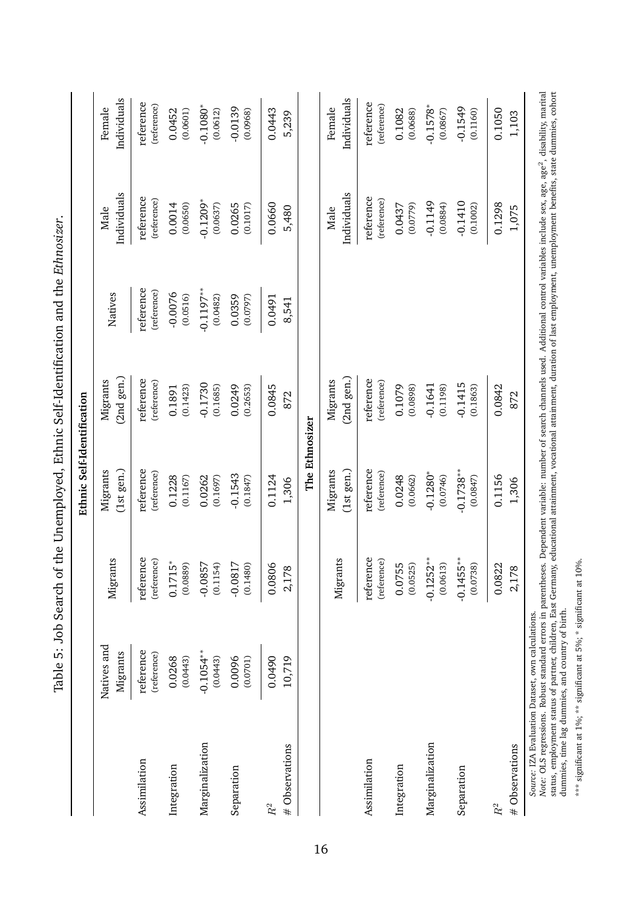|                         |                                                                                                       |                          | Ethnic Self-Identification |                          |                          |                                                                                                                                                                                                                                                                                                                                                                                              |                          |
|-------------------------|-------------------------------------------------------------------------------------------------------|--------------------------|----------------------------|--------------------------|--------------------------|----------------------------------------------------------------------------------------------------------------------------------------------------------------------------------------------------------------------------------------------------------------------------------------------------------------------------------------------------------------------------------------------|--------------------------|
|                         | Natives and<br>Migrants                                                                               | Migrants                 | (1st gen.)<br>Migrants     | (2nd gen.)<br>Migrants   | Natives                  | Individuals<br>Male                                                                                                                                                                                                                                                                                                                                                                          | Individuals<br>Female    |
| Assimilation            | reference<br>(reference)                                                                              | reference<br>(reference) | reference<br>(reference)   | reference<br>(reference) | reference<br>(reference) | reference<br>(reference)                                                                                                                                                                                                                                                                                                                                                                     | reference<br>(reference) |
| Integration             | 0.0268<br>(0.0443)                                                                                    | $0.1715*$<br>(0.0889)    | 0.1228<br>(0.1167)         | (0.1423)<br>0.1891       | $-0.0076$<br>(0.0516)    | 0.0014<br>(0.0650)                                                                                                                                                                                                                                                                                                                                                                           | 0.0452<br>(0.0601)       |
| Marginalization         | $-0.1054***$<br>(0.0443)                                                                              | $-0.0857$<br>(0.1154)    | 0.0262<br>(0.1697)         | $-0.1730$<br>(0.1685)    | $-0.1197***$<br>(0.0482) | $-0.1209*$<br>(0.0637)                                                                                                                                                                                                                                                                                                                                                                       | $-0.1080*$<br>(0.0612)   |
| Separation              | 0.0096<br>(0.0701)                                                                                    | $-0.0817$<br>(0.1480)    | $-0.1543$<br>(0.1847)      | 0.0249<br>(0.2653)       | 0.0359<br>(0.0797)       | 0.0265<br>(0.1017)                                                                                                                                                                                                                                                                                                                                                                           | $-0.0139$<br>(0.0968)    |
| # Observations<br>$R^2$ | 10,719<br>0.0490                                                                                      | 0.0806<br>2,178          | 0.1124<br>1,306            | 0.0845<br>872            | 0.0491<br>8,541          | 0.0660<br>5,480                                                                                                                                                                                                                                                                                                                                                                              | 0.0443<br>5,239          |
|                         |                                                                                                       |                          | The Ethnosizer             |                          |                          |                                                                                                                                                                                                                                                                                                                                                                                              |                          |
|                         |                                                                                                       | Migrants                 | (1st gen.)<br>Migrants     | (2nd gen.)<br>Migrants   |                          | Individuals<br>Male                                                                                                                                                                                                                                                                                                                                                                          | Individuals<br>Female    |
| Assimilation            |                                                                                                       | reference<br>(reference) | reference<br>(reference)   | reference<br>(reference) |                          | reference<br>(reference)                                                                                                                                                                                                                                                                                                                                                                     | reference<br>(reference) |
| Integration             |                                                                                                       | 0.0755<br>(0.0525)       | 0.0248<br>(0.0662)         | 0.1079<br>(0.0898)       |                          | (0.0779)<br>0.0437                                                                                                                                                                                                                                                                                                                                                                           | 0.1082<br>(0.0688)       |
| Marginalization         |                                                                                                       | $-0.1252***$<br>(0.0613) | $-0.1280*$<br>(0.0746)     | $-0.1641$<br>(0.1198)    |                          | $-0.1149$<br>(0.0884)                                                                                                                                                                                                                                                                                                                                                                        | $-0.1578*$<br>(0.0867)   |
| Separation              |                                                                                                       | $-0.1455***$<br>(0.0738) | $-0.1738***$<br>(0.0847)   | $-0.1415$<br>(0.1863)    |                          | $-0.1410$<br>(0.1002)                                                                                                                                                                                                                                                                                                                                                                        | $-0.1549$<br>(0.1160)    |
| # Observations<br>$R^2$ |                                                                                                       | 0.0822<br>2,178          | 0.1156<br>1,306            | 0.0842<br>872            |                          | 0.1298<br>1,075                                                                                                                                                                                                                                                                                                                                                                              | 0.1050<br>1,103          |
|                         | dummies, time lag dummies, and country of birth.<br>Source: IZA Evaluation Dataset, own calculations. |                          |                            |                          |                          | Note: OLS regressions. Robust standard errors in parentheses. Dependent variable: number of search channels used. Additional control variables include sex, age <sup>2</sup> , disability, marital<br>status, employment status of partner, children, East Germany, educational attainment, vocational attainment, duration of last employment, unemployment benefits, state dummies, cohort |                          |

Table 5: Job Search of the Unemployed, Ethnic Self-Identification and the Ethnosizer. Table 5: Job Search of the Unemployed, Ethnic Self-Identification and the *Ethnosizer*.

16

\*\*\* significant at 1%; \*\* significant at 5%; \* significant at 10%.

\*\*\* significant at 1%; \*\*\* significant at 5%; \* significant at 10%.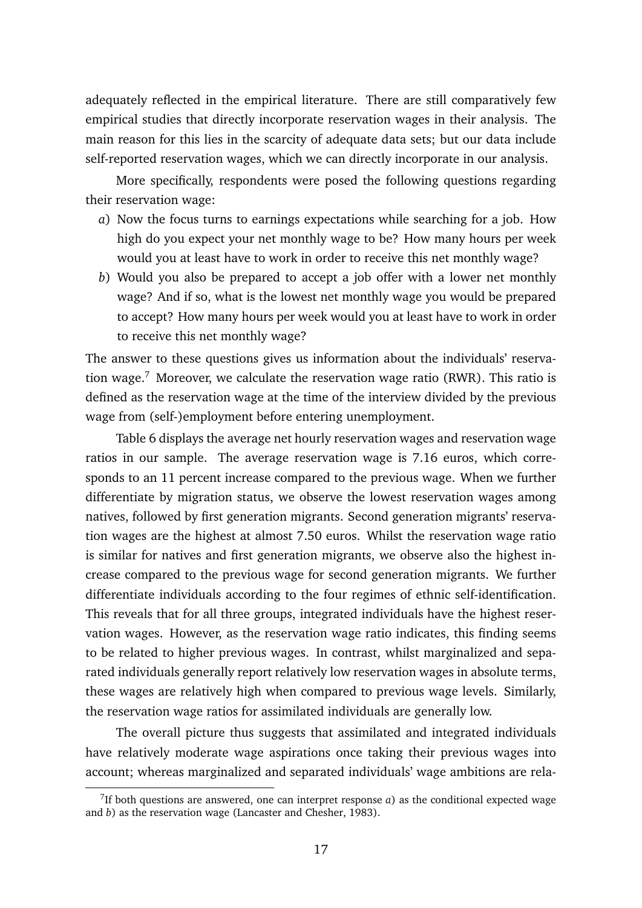adequately reflected in the empirical literature. There are still comparatively few empirical studies that directly incorporate reservation wages in their analysis. The main reason for this lies in the scarcity of adequate data sets; but our data include self-reported reservation wages, which we can directly incorporate in our analysis.

More specifically, respondents were posed the following questions regarding their reservation wage:

- *a*) Now the focus turns to earnings expectations while searching for a job. How high do you expect your net monthly wage to be? How many hours per week would you at least have to work in order to receive this net monthly wage?
- *b*) Would you also be prepared to accept a job offer with a lower net monthly wage? And if so, what is the lowest net monthly wage you would be prepared to accept? How many hours per week would you at least have to work in order to receive this net monthly wage?

The answer to these questions gives us information about the individuals' reservation wage.<sup>7</sup> Moreover, we calculate the reservation wage ratio (RWR). This ratio is defined as the reservation wage at the time of the interview divided by the previous wage from (self-)employment before entering unemployment.

Table 6 displays the average net hourly reservation wages and reservation wage ratios in our sample. The average reservation wage is 7.16 euros, which corresponds to an 11 percent increase compared to the previous wage. When we further differentiate by migration status, we observe the lowest reservation wages among natives, followed by first generation migrants. Second generation migrants' reservation wages are the highest at almost 7.50 euros. Whilst the reservation wage ratio is similar for natives and first generation migrants, we observe also the highest increase compared to the previous wage for second generation migrants. We further differentiate individuals according to the four regimes of ethnic self-identification. This reveals that for all three groups, integrated individuals have the highest reservation wages. However, as the reservation wage ratio indicates, this finding seems to be related to higher previous wages. In contrast, whilst marginalized and separated individuals generally report relatively low reservation wages in absolute terms, these wages are relatively high when compared to previous wage levels. Similarly, the reservation wage ratios for assimilated individuals are generally low.

The overall picture thus suggests that assimilated and integrated individuals have relatively moderate wage aspirations once taking their previous wages into account; whereas marginalized and separated individuals' wage ambitions are rela-

<sup>7</sup> If both questions are answered, one can interpret response *a*) as the conditional expected wage and *b*) as the reservation wage (Lancaster and Chesher, 1983).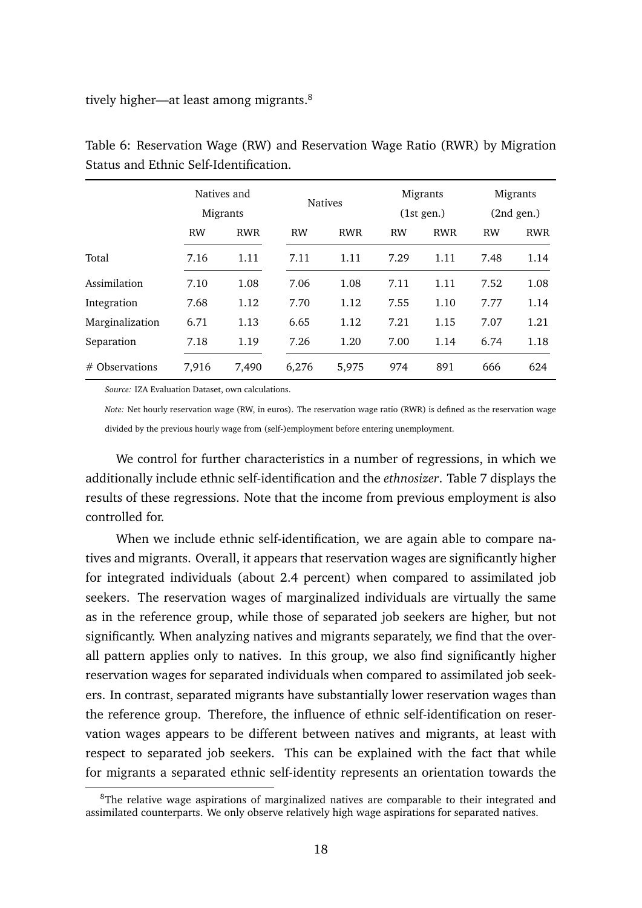tively higher—at least among migrants.<sup>8</sup>

|                  |           | Natives and<br>Migrants |           | <b>Natives</b> |           | Migrants<br>(1st gen.) |           | Migrants<br>(2nd gen.) |
|------------------|-----------|-------------------------|-----------|----------------|-----------|------------------------|-----------|------------------------|
|                  | <b>RW</b> | <b>RWR</b>              | <b>RW</b> | <b>RWR</b>     | <b>RW</b> | <b>RWR</b>             | <b>RW</b> | <b>RWR</b>             |
| Total            | 7.16      | 1.11                    | 7.11      | 1.11           | 7.29      | 1.11                   | 7.48      | 1.14                   |
| Assimilation     | 7.10      | 1.08                    | 7.06      | 1.08           | 7.11      | 1.11                   | 7.52      | 1.08                   |
| Integration      | 7.68      | 1.12                    | 7.70      | 1.12           | 7.55      | 1.10                   | 7.77      | 1.14                   |
| Marginalization  | 6.71      | 1.13                    | 6.65      | 1.12           | 7.21      | 1.15                   | 7.07      | 1.21                   |
| Separation       | 7.18      | 1.19                    | 7.26      | 1.20           | 7.00      | 1.14                   | 6.74      | 1.18                   |
| $#$ Observations | 7,916     | 7,490                   | 6,276     | 5,975          | 974       | 891                    | 666       | 624                    |

Table 6: Reservation Wage (RW) and Reservation Wage Ratio (RWR) by Migration Status and Ethnic Self-Identification.

*Source:* IZA Evaluation Dataset, own calculations.

*Note:* Net hourly reservation wage (RW, in euros). The reservation wage ratio (RWR) is defined as the reservation wage divided by the previous hourly wage from (self-)employment before entering unemployment.

We control for further characteristics in a number of regressions, in which we additionally include ethnic self-identification and the *ethnosizer*. Table 7 displays the results of these regressions. Note that the income from previous employment is also controlled for.

When we include ethnic self-identification, we are again able to compare natives and migrants. Overall, it appears that reservation wages are significantly higher for integrated individuals (about 2.4 percent) when compared to assimilated job seekers. The reservation wages of marginalized individuals are virtually the same as in the reference group, while those of separated job seekers are higher, but not significantly. When analyzing natives and migrants separately, we find that the overall pattern applies only to natives. In this group, we also find significantly higher reservation wages for separated individuals when compared to assimilated job seekers. In contrast, separated migrants have substantially lower reservation wages than the reference group. Therefore, the influence of ethnic self-identification on reservation wages appears to be different between natives and migrants, at least with respect to separated job seekers. This can be explained with the fact that while for migrants a separated ethnic self-identity represents an orientation towards the

 $8$ The relative wage aspirations of marginalized natives are comparable to their integrated and assimilated counterparts. We only observe relatively high wage aspirations for separated natives.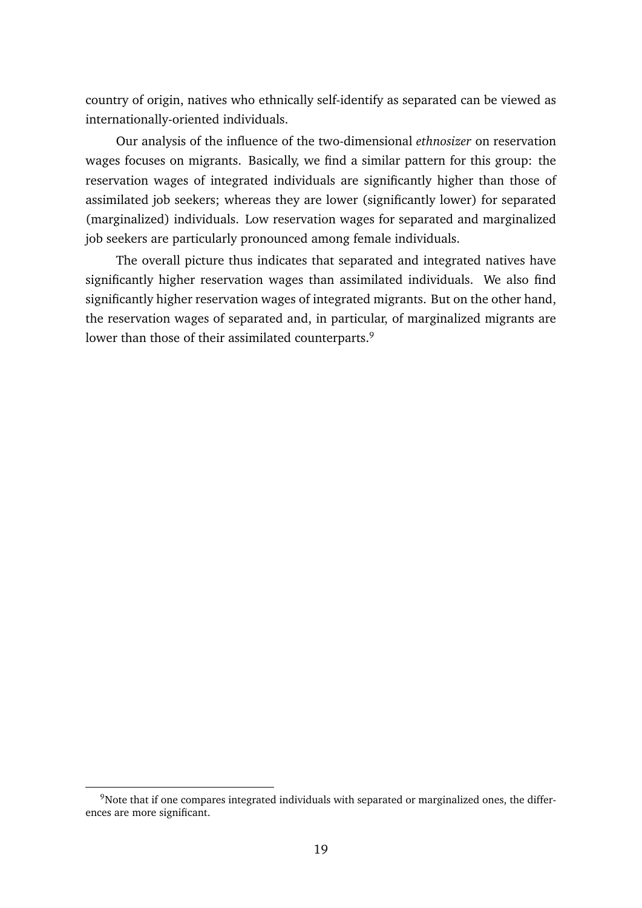country of origin, natives who ethnically self-identify as separated can be viewed as internationally-oriented individuals.

Our analysis of the influence of the two-dimensional *ethnosizer* on reservation wages focuses on migrants. Basically, we find a similar pattern for this group: the reservation wages of integrated individuals are significantly higher than those of assimilated job seekers; whereas they are lower (significantly lower) for separated (marginalized) individuals. Low reservation wages for separated and marginalized job seekers are particularly pronounced among female individuals.

The overall picture thus indicates that separated and integrated natives have significantly higher reservation wages than assimilated individuals. We also find significantly higher reservation wages of integrated migrants. But on the other hand, the reservation wages of separated and, in particular, of marginalized migrants are lower than those of their assimilated counterparts.<sup>9</sup>

 $9$ Note that if one compares integrated individuals with separated or marginalized ones, the differences are more significant.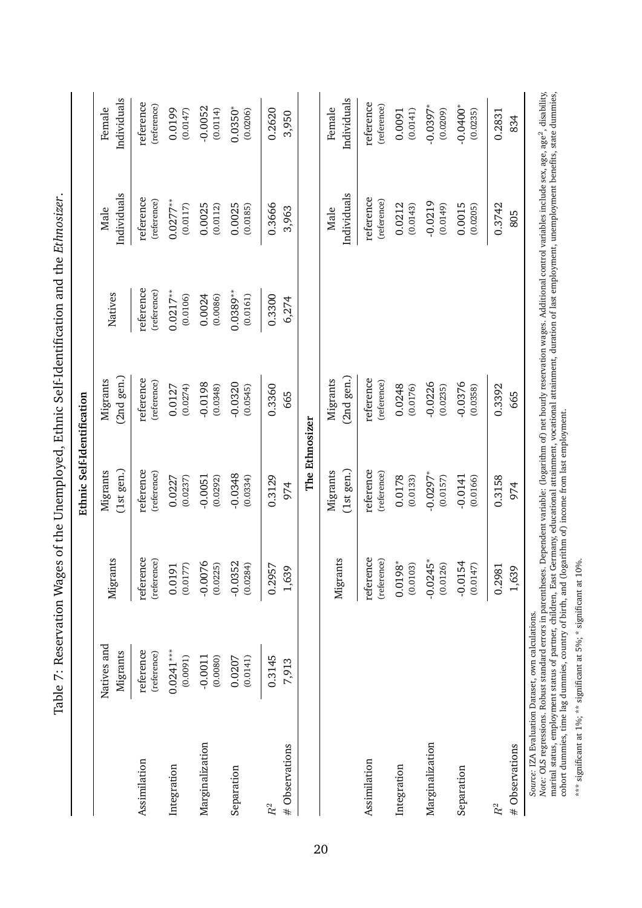|                                      |                                                                                                                                                                                                                                                                                                                                                                                                                                          |                          | Ethnic Self-Identification |                          |                          |                                                                                                                            |                          |
|--------------------------------------|------------------------------------------------------------------------------------------------------------------------------------------------------------------------------------------------------------------------------------------------------------------------------------------------------------------------------------------------------------------------------------------------------------------------------------------|--------------------------|----------------------------|--------------------------|--------------------------|----------------------------------------------------------------------------------------------------------------------------|--------------------------|
|                                      | Natives and<br>Migrants                                                                                                                                                                                                                                                                                                                                                                                                                  | Migrants                 | (1st gen.)<br>Migrants     | (2nd gen.)<br>Migrants   | Natives                  | Individuals<br>Male                                                                                                        | Individuals<br>Female    |
| Assimilation                         | reference<br>(reference)                                                                                                                                                                                                                                                                                                                                                                                                                 | reference<br>(reference) | reference<br>(reference)   | reference<br>(reference) | reference<br>(reference) | reference<br>(reference)                                                                                                   | reference<br>(reference) |
| Integration                          | $0.0241***$<br>(0.0091)                                                                                                                                                                                                                                                                                                                                                                                                                  | 0.0191<br>(0.0177)       | (0.0237)<br>0.0227         | (0.0274)<br>0.0127       | $0.0217***$<br>(0.0106)  | $0.0277***$<br>(0.0117)                                                                                                    | 0.0199<br>(0.0147)       |
| Marginalization                      | (0.0080)<br>$-0.0011$                                                                                                                                                                                                                                                                                                                                                                                                                    | $-0.0076$<br>(0.0225)    | (0.0292)<br>$-0.0051$      | $-0.0198$<br>(0.0348)    | 0.0024<br>(0.0086)       | 0.0025<br>(0.0112)                                                                                                         | $-0.0052$<br>(0.0114)    |
| Separation                           | (0.0141)<br>0.0207                                                                                                                                                                                                                                                                                                                                                                                                                       | $-0.0352$<br>(0.0284)    | $-0.0348$<br>(0.0334)      | $-0.0320$<br>(0.0545)    | $0.0389***$<br>(0.0161)  | 0.0025<br>(0.0185)                                                                                                         | $0.0350*$<br>(0.0206)    |
| # Observations<br>$R^2$              | 0.3145<br>7,913                                                                                                                                                                                                                                                                                                                                                                                                                          | 0.2957<br>1,639          | 0.3129<br>974              | 0.3360<br>665            | 0.3300<br>6,274          | 0.3666<br>3,963                                                                                                            | 0.2620<br>3,950          |
|                                      |                                                                                                                                                                                                                                                                                                                                                                                                                                          |                          | The Ethnosizer             |                          |                          |                                                                                                                            |                          |
|                                      |                                                                                                                                                                                                                                                                                                                                                                                                                                          | Migrants                 | (1st gen.)<br>Migrants     | (2nd gen.)<br>Migrants   |                          | Individuals<br>Male                                                                                                        | Individuals<br>Female    |
| Assimilation                         |                                                                                                                                                                                                                                                                                                                                                                                                                                          | reference<br>(reference) | reference<br>(reference)   | reference<br>(reference) |                          | reference<br>(reference)                                                                                                   | reference<br>(reference) |
| Integration                          |                                                                                                                                                                                                                                                                                                                                                                                                                                          | 0.0198*<br>(0.0103)      | 0.0178<br>(0.0133)         | 0.0248<br>(0.0176)       |                          | 0.0212<br>(0.0143)                                                                                                         | (0.0141)<br>0.0091       |
| Marginalization                      |                                                                                                                                                                                                                                                                                                                                                                                                                                          | $-0.0245$ *<br>(0.0126)  | $-0.0297$ *<br>(0.0157)    | $-0.0226$<br>(0.0235)    |                          | $-0.0219$<br>(0.0149)                                                                                                      | $-0.0397*$<br>(0.0209)   |
| Separation                           |                                                                                                                                                                                                                                                                                                                                                                                                                                          | $-0.0154$<br>(0.0147)    | (0.0166)<br>$-0.0141$      | $-0.0376$<br>(0.0358)    |                          | 0.0015<br>(0.0205)                                                                                                         | $-0.0400*$<br>(0.0235)   |
| # Observations<br>$\ensuremath{R^2}$ |                                                                                                                                                                                                                                                                                                                                                                                                                                          | 0.2981<br>1,639          | 0.3158<br>974              | 0.3392<br>665            |                          | 0.3742<br>805                                                                                                              | 0.2831<br>834            |
|                                      | Note: OLS regressions. Robust standard errors in parentheses. Dependent variable: (logarithm of) net hourly reservation wages. Additional control variables include sex, age, age <sup>2</sup> , disability,<br>cohort dummies, time lag dummies, country of birth, and (logarithm of) income from last employment.<br>marital status, employment status of partner, children, East<br>Source: IZA Evaluation Dataset, own calculations. |                          |                            |                          |                          | Germany, educational attainment, vocational attainment, duration of last employment, unemployment benefits, state dummies, |                          |

Table 7: Reservation Wages of the Unemployed, Ethnic Self-Identification and the Ethnosizer.

\*\*\* significant at 1%; \*\* significant at 5%; \* significant at 10%.

\*\*\* significant at 1%; \*\*\* significant at 5%; \* significant at 10%.

20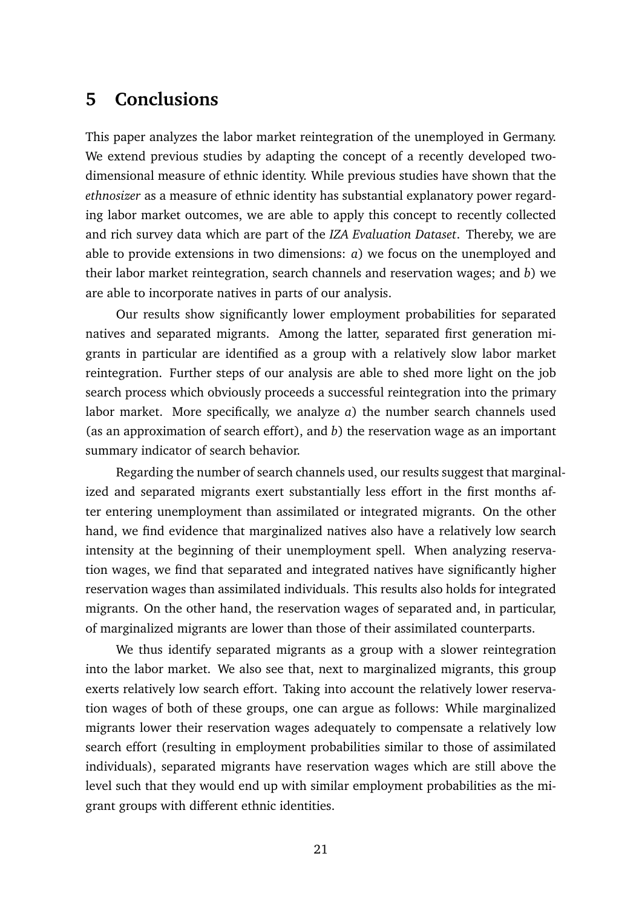### **5 Conclusions**

This paper analyzes the labor market reintegration of the unemployed in Germany. We extend previous studies by adapting the concept of a recently developed twodimensional measure of ethnic identity. While previous studies have shown that the *ethnosizer* as a measure of ethnic identity has substantial explanatory power regarding labor market outcomes, we are able to apply this concept to recently collected and rich survey data which are part of the *IZA Evaluation Dataset*. Thereby, we are able to provide extensions in two dimensions: *a*) we focus on the unemployed and their labor market reintegration, search channels and reservation wages; and *b*) we are able to incorporate natives in parts of our analysis.

Our results show significantly lower employment probabilities for separated natives and separated migrants. Among the latter, separated first generation migrants in particular are identified as a group with a relatively slow labor market reintegration. Further steps of our analysis are able to shed more light on the job search process which obviously proceeds a successful reintegration into the primary labor market. More specifically, we analyze *a*) the number search channels used (as an approximation of search effort), and *b*) the reservation wage as an important summary indicator of search behavior.

Regarding the number of search channels used, our results suggest that marginalized and separated migrants exert substantially less effort in the first months after entering unemployment than assimilated or integrated migrants. On the other hand, we find evidence that marginalized natives also have a relatively low search intensity at the beginning of their unemployment spell. When analyzing reservation wages, we find that separated and integrated natives have significantly higher reservation wages than assimilated individuals. This results also holds for integrated migrants. On the other hand, the reservation wages of separated and, in particular, of marginalized migrants are lower than those of their assimilated counterparts.

We thus identify separated migrants as a group with a slower reintegration into the labor market. We also see that, next to marginalized migrants, this group exerts relatively low search effort. Taking into account the relatively lower reservation wages of both of these groups, one can argue as follows: While marginalized migrants lower their reservation wages adequately to compensate a relatively low search effort (resulting in employment probabilities similar to those of assimilated individuals), separated migrants have reservation wages which are still above the level such that they would end up with similar employment probabilities as the migrant groups with different ethnic identities.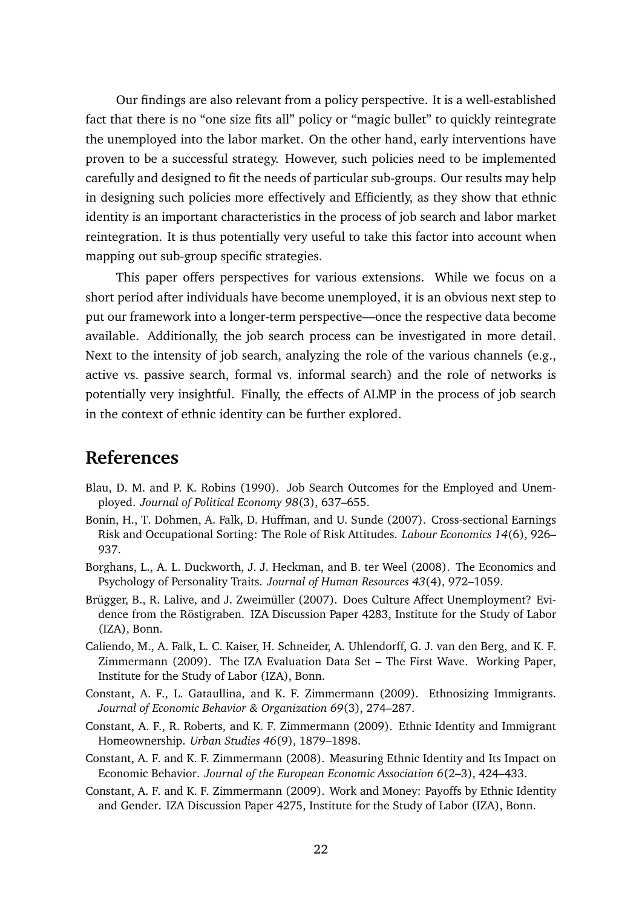Our findings are also relevant from a policy perspective. It is a well-established fact that there is no "one size fits all" policy or "magic bullet" to quickly reintegrate the unemployed into the labor market. On the other hand, early interventions have proven to be a successful strategy. However, such policies need to be implemented carefully and designed to fit the needs of particular sub-groups. Our results may help in designing such policies more effectively and Efficiently, as they show that ethnic identity is an important characteristics in the process of job search and labor market reintegration. It is thus potentially very useful to take this factor into account when mapping out sub-group specific strategies.

This paper offers perspectives for various extensions. While we focus on a short period after individuals have become unemployed, it is an obvious next step to put our framework into a longer-term perspective—once the respective data become available. Additionally, the job search process can be investigated in more detail. Next to the intensity of job search, analyzing the role of the various channels (e.g., active vs. passive search, formal vs. informal search) and the role of networks is potentially very insightful. Finally, the effects of ALMP in the process of job search in the context of ethnic identity can be further explored.

# **References**

- Blau, D. M. and P. K. Robins (1990). Job Search Outcomes for the Employed and Unemployed. *Journal of Political Economy 98*(3), 637–655.
- Bonin, H., T. Dohmen, A. Falk, D. Huffman, and U. Sunde (2007). Cross-sectional Earnings Risk and Occupational Sorting: The Role of Risk Attitudes. *Labour Economics 14*(6), 926– 937.
- Borghans, L., A. L. Duckworth, J. J. Heckman, and B. ter Weel (2008). The Economics and Psychology of Personality Traits. *Journal of Human Resources 43*(4), 972–1059.
- Brügger, B., R. Lalive, and J. Zweimüller (2007). Does Culture Affect Unemployment? Evidence from the Röstigraben. IZA Discussion Paper 4283, Institute for the Study of Labor (IZA), Bonn.
- Caliendo, M., A. Falk, L. C. Kaiser, H. Schneider, A. Uhlendorff, G. J. van den Berg, and K. F. Zimmermann (2009). The IZA Evaluation Data Set – The First Wave. Working Paper, Institute for the Study of Labor (IZA), Bonn.
- Constant, A. F., L. Gataullina, and K. F. Zimmermann (2009). Ethnosizing Immigrants. *Journal of Economic Behavior & Organization 69*(3), 274–287.
- Constant, A. F., R. Roberts, and K. F. Zimmermann (2009). Ethnic Identity and Immigrant Homeownership. *Urban Studies 46*(9), 1879–1898.
- Constant, A. F. and K. F. Zimmermann (2008). Measuring Ethnic Identity and Its Impact on Economic Behavior. *Journal of the European Economic Association 6*(2–3), 424–433.
- Constant, A. F. and K. F. Zimmermann (2009). Work and Money: Payoffs by Ethnic Identity and Gender. IZA Discussion Paper 4275, Institute for the Study of Labor (IZA), Bonn.